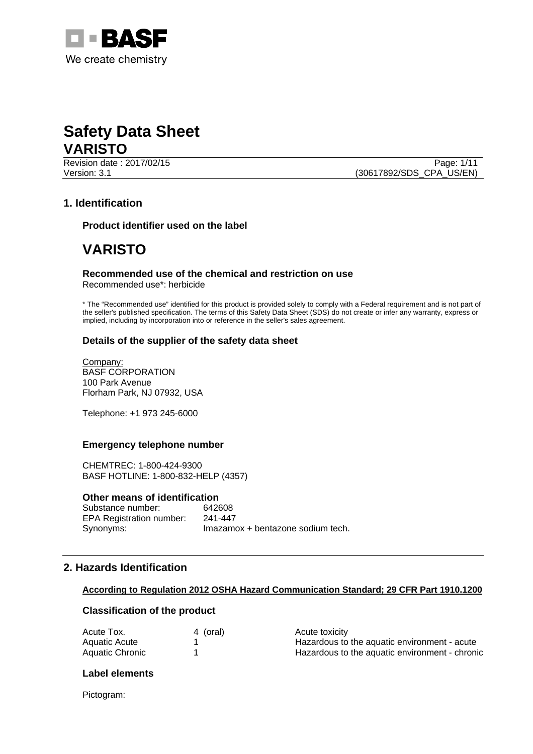

Revision date : 2017/02/15 Page: 1/11 Version: 3.1 (30617892/SDS\_CPA\_US/EN)

# **1. Identification**

**Product identifier used on the label** 

# **VARISTO**

# **Recommended use of the chemical and restriction on use**

Recommended use\*: herbicide

\* The "Recommended use" identified for this product is provided solely to comply with a Federal requirement and is not part of the seller's published specification. The terms of this Safety Data Sheet (SDS) do not create or infer any warranty, express or implied, including by incorporation into or reference in the seller's sales agreement.

#### **Details of the supplier of the safety data sheet**

Company: BASF CORPORATION 100 Park Avenue Florham Park, NJ 07932, USA

Telephone: +1 973 245-6000

#### **Emergency telephone number**

CHEMTREC: 1-800-424-9300 BASF HOTLINE: 1-800-832-HELP (4357)

#### **Other means of identification**

Substance number: 642608 EPA Registration number: 241-447 Synonyms: Imazamox + bentazone sodium tech.

### **2. Hazards Identification**

#### **According to Regulation 2012 OSHA Hazard Communication Standard; 29 CFR Part 1910.1200**

#### **Classification of the product**

| Acute Tox.      | 4 (oral) | Acute toxicity                                 |
|-----------------|----------|------------------------------------------------|
| Aquatic Acute   |          | Hazardous to the aquatic environment - acute   |
| Aquatic Chronic |          | Hazardous to the aquatic environment - chronic |

#### **Label elements**

Pictogram: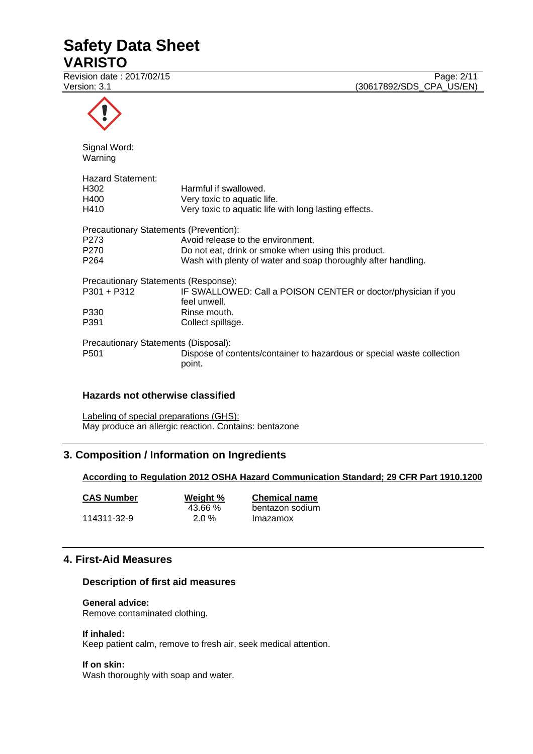# **Safety Data Sheet**

# **VARISTO**

Revision date : 2017/02/15 Page: 2/11<br>Version: 3.1 (30617892/SDS\_CPA\_US/EN) (30617892/SDS CPA US/EN)

| Signal Word:<br>Warning                                                                |                                                                                                                                                           |
|----------------------------------------------------------------------------------------|-----------------------------------------------------------------------------------------------------------------------------------------------------------|
| Hazard Statement:<br>H <sub>302</sub><br>H400<br>H410                                  | Harmful if swallowed.<br>Very toxic to aquatic life.<br>Very toxic to aquatic life with long lasting effects.                                             |
| Precautionary Statements (Prevention):<br>P273<br>P <sub>270</sub><br>P <sub>264</sub> | Avoid release to the environment.<br>Do not eat, drink or smoke when using this product.<br>Wash with plenty of water and soap thoroughly after handling. |
| Precautionary Statements (Response):<br>$P301 + P312$<br>P330<br>P391                  | IF SWALLOWED: Call a POISON CENTER or doctor/physician if you<br>feel unwell.<br>Rinse mouth.<br>Collect spillage.                                        |
| Precautionary Statements (Disposal):<br>P <sub>501</sub>                               | Dispose of contents/container to hazardous or special waste collection<br>point.                                                                          |

#### **Hazards not otherwise classified**

Labeling of special preparations (GHS): May produce an allergic reaction. Contains: bentazone

# **3. Composition / Information on Ingredients**

#### **According to Regulation 2012 OSHA Hazard Communication Standard; 29 CFR Part 1910.1200**

| <b>CAS Number</b><br>Weight % |          | <b>Chemical name</b> |  |
|-------------------------------|----------|----------------------|--|
|                               | 43.66%   | bentazon sodium      |  |
| 114311-32-9                   | $2.0 \%$ | Imazamox             |  |

# **4. First-Aid Measures**

#### **Description of first aid measures**

#### **General advice:**

Remove contaminated clothing.

#### **If inhaled:**

Keep patient calm, remove to fresh air, seek medical attention.

#### **If on skin:**

Wash thoroughly with soap and water.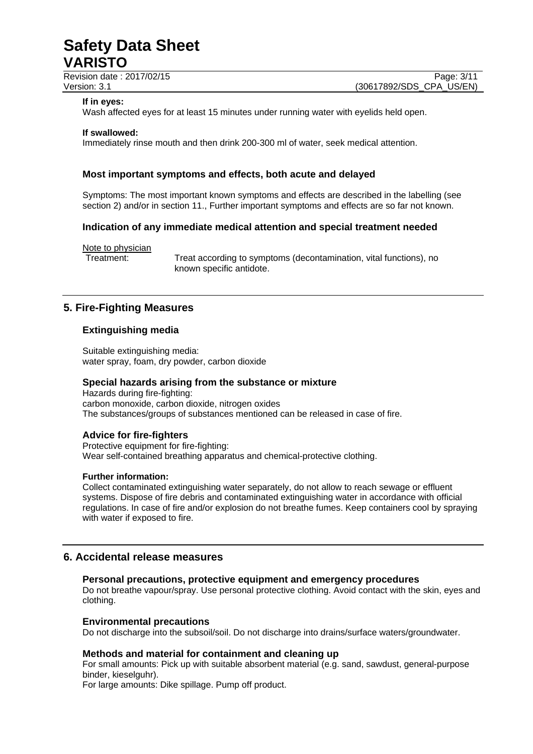Revision date : 2017/02/15 Page: 3/11

Version: 3.1 (30617892/SDS\_CPA\_US/EN)

#### **If in eyes:**

Wash affected eyes for at least 15 minutes under running water with eyelids held open.

#### **If swallowed:**

Immediately rinse mouth and then drink 200-300 ml of water, seek medical attention.

#### **Most important symptoms and effects, both acute and delayed**

Symptoms: The most important known symptoms and effects are described in the labelling (see section 2) and/or in section 11., Further important symptoms and effects are so far not known.

#### **Indication of any immediate medical attention and special treatment needed**

Note to physician

Treatment: Treat according to symptoms (decontamination, vital functions), no known specific antidote.

### **5. Fire-Fighting Measures**

#### **Extinguishing media**

Suitable extinguishing media: water spray, foam, dry powder, carbon dioxide

#### **Special hazards arising from the substance or mixture**

Hazards during fire-fighting: carbon monoxide, carbon dioxide, nitrogen oxides The substances/groups of substances mentioned can be released in case of fire.

#### **Advice for fire-fighters**

Protective equipment for fire-fighting: Wear self-contained breathing apparatus and chemical-protective clothing.

#### **Further information:**

Collect contaminated extinguishing water separately, do not allow to reach sewage or effluent systems. Dispose of fire debris and contaminated extinguishing water in accordance with official regulations. In case of fire and/or explosion do not breathe fumes. Keep containers cool by spraying with water if exposed to fire.

### **6. Accidental release measures**

#### **Personal precautions, protective equipment and emergency procedures**

Do not breathe vapour/spray. Use personal protective clothing. Avoid contact with the skin, eyes and clothing.

#### **Environmental precautions**

Do not discharge into the subsoil/soil. Do not discharge into drains/surface waters/groundwater.

#### **Methods and material for containment and cleaning up**

For small amounts: Pick up with suitable absorbent material (e.g. sand, sawdust, general-purpose binder, kieselguhr).

For large amounts: Dike spillage. Pump off product.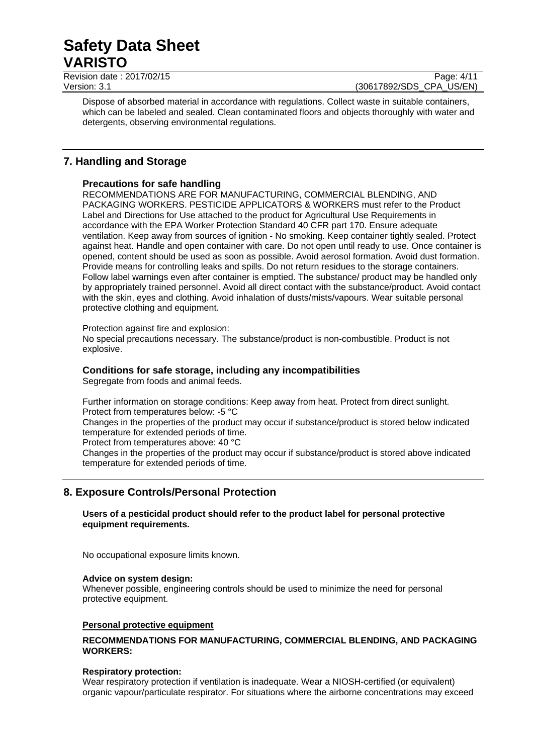Revision date : 2017/02/15 Page: 4/11 Version: 3.1 (30617892/SDS\_CPA\_US/EN)

Dispose of absorbed material in accordance with regulations. Collect waste in suitable containers, which can be labeled and sealed. Clean contaminated floors and objects thoroughly with water and detergents, observing environmental regulations.

# **7. Handling and Storage**

### **Precautions for safe handling**

RECOMMENDATIONS ARE FOR MANUFACTURING, COMMERCIAL BLENDING, AND PACKAGING WORKERS. PESTICIDE APPLICATORS & WORKERS must refer to the Product Label and Directions for Use attached to the product for Agricultural Use Requirements in accordance with the EPA Worker Protection Standard 40 CFR part 170. Ensure adequate ventilation. Keep away from sources of ignition - No smoking. Keep container tightly sealed. Protect against heat. Handle and open container with care. Do not open until ready to use. Once container is opened, content should be used as soon as possible. Avoid aerosol formation. Avoid dust formation. Provide means for controlling leaks and spills. Do not return residues to the storage containers. Follow label warnings even after container is emptied. The substance/ product may be handled only by appropriately trained personnel. Avoid all direct contact with the substance/product. Avoid contact with the skin, eyes and clothing. Avoid inhalation of dusts/mists/vapours. Wear suitable personal protective clothing and equipment.

Protection against fire and explosion:

No special precautions necessary. The substance/product is non-combustible. Product is not explosive.

#### **Conditions for safe storage, including any incompatibilities**

Segregate from foods and animal feeds.

Further information on storage conditions: Keep away from heat. Protect from direct sunlight. Protect from temperatures below: -5 °C Changes in the properties of the product may occur if substance/product is stored below indicated

temperature for extended periods of time.

Protect from temperatures above: 40 °C

Changes in the properties of the product may occur if substance/product is stored above indicated temperature for extended periods of time.

# **8. Exposure Controls/Personal Protection**

**Users of a pesticidal product should refer to the product label for personal protective equipment requirements.** 

No occupational exposure limits known.

#### **Advice on system design:**

Whenever possible, engineering controls should be used to minimize the need for personal protective equipment.

#### **Personal protective equipment**

#### **RECOMMENDATIONS FOR MANUFACTURING, COMMERCIAL BLENDING, AND PACKAGING WORKERS:**

#### **Respiratory protection:**

Wear respiratory protection if ventilation is inadequate. Wear a NIOSH-certified (or equivalent) organic vapour/particulate respirator. For situations where the airborne concentrations may exceed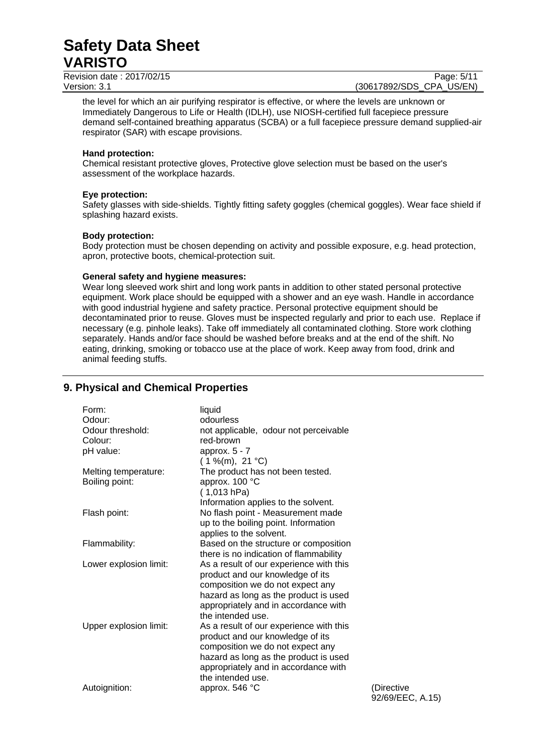Revision date : 2017/02/15 Version: 3.1 (30617892/SDS\_CPA\_US/EN)

the level for which an air purifying respirator is effective, or where the levels are unknown or Immediately Dangerous to Life or Health (IDLH), use NIOSH-certified full facepiece pressure demand self-contained breathing apparatus (SCBA) or a full facepiece pressure demand supplied-air respirator (SAR) with escape provisions.

#### **Hand protection:**

Chemical resistant protective gloves, Protective glove selection must be based on the user's assessment of the workplace hazards.

#### **Eye protection:**

Safety glasses with side-shields. Tightly fitting safety goggles (chemical goggles). Wear face shield if splashing hazard exists.

#### **Body protection:**

Body protection must be chosen depending on activity and possible exposure, e.g. head protection, apron, protective boots, chemical-protection suit.

#### **General safety and hygiene measures:**

Wear long sleeved work shirt and long work pants in addition to other stated personal protective equipment. Work place should be equipped with a shower and an eye wash. Handle in accordance with good industrial hygiene and safety practice. Personal protective equipment should be decontaminated prior to reuse. Gloves must be inspected regularly and prior to each use. Replace if necessary (e.g. pinhole leaks). Take off immediately all contaminated clothing. Store work clothing separately. Hands and/or face should be washed before breaks and at the end of the shift. No eating, drinking, smoking or tobacco use at the place of work. Keep away from food, drink and animal feeding stuffs.

# **9. Physical and Chemical Properties**

| Form:                  | liquid                                  |
|------------------------|-----------------------------------------|
| Odour:                 | odourless                               |
| Odour threshold:       | not applicable, odour not perceivable   |
| Colour:                | red-brown                               |
| pH value:              | approx. $5 - 7$                         |
|                        | $(1\%$ (m), 21 °C)                      |
| Melting temperature:   | The product has not been tested.        |
| Boiling point:         | approx. 100 °C                          |
|                        | (1,013 hPa)                             |
|                        | Information applies to the solvent.     |
| Flash point:           | No flash point - Measurement made       |
|                        | up to the boiling point. Information    |
|                        | applies to the solvent.                 |
| Flammability:          | Based on the structure or composition   |
|                        | there is no indication of flammability  |
| Lower explosion limit: | As a result of our experience with this |
|                        | product and our knowledge of its        |
|                        | composition we do not expect any        |
|                        | hazard as long as the product is used   |
|                        | appropriately and in accordance with    |
|                        | the intended use.                       |
| Upper explosion limit: | As a result of our experience with this |
|                        | product and our knowledge of its        |
|                        | composition we do not expect any        |
|                        | hazard as long as the product is used   |
|                        | appropriately and in accordance with    |
|                        | the intended use.                       |
| Autoignition:          | approx. 546 °C                          |
|                        |                                         |

(Directive 92/69/EEC, A.15)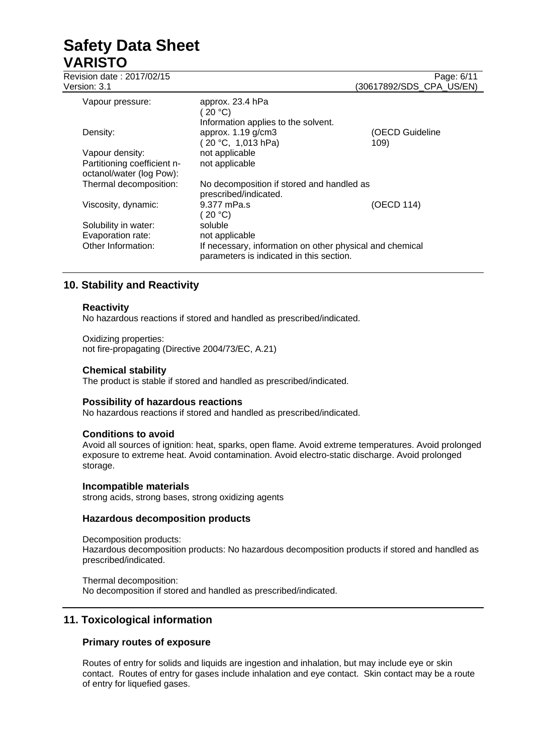| .                                                                          |                                                                                                                                   |                                        |
|----------------------------------------------------------------------------|-----------------------------------------------------------------------------------------------------------------------------------|----------------------------------------|
| Revision date: 2017/02/15<br>Version: 3.1                                  |                                                                                                                                   | Page: 6/11<br>(30617892/SDS CPA US/EN) |
| Vapour pressure:                                                           | approx. 23.4 hPa<br>20 °C<br>Information applies to the solvent.                                                                  |                                        |
| Density:                                                                   | approx. 1.19 g/cm3<br>(20 °C, 1,013 hPa)                                                                                          | (OECD Guideline<br>109)                |
| Vapour density:<br>Partitioning coefficient n-<br>octanol/water (log Pow): | not applicable<br>not applicable                                                                                                  |                                        |
| Thermal decomposition:                                                     | No decomposition if stored and handled as<br>prescribed/indicated.                                                                |                                        |
| Viscosity, dynamic:                                                        | 9.377 mPa.s<br>(20 °C)                                                                                                            | (OECD 114)                             |
| Solubility in water:<br>Evaporation rate:<br>Other Information:            | soluble<br>not applicable<br>If necessary, information on other physical and chemical<br>parameters is indicated in this section. |                                        |

# **10. Stability and Reactivity**

#### **Reactivity**

No hazardous reactions if stored and handled as prescribed/indicated.

Oxidizing properties: not fire-propagating (Directive 2004/73/EC, A.21)

#### **Chemical stability**

The product is stable if stored and handled as prescribed/indicated.

#### **Possibility of hazardous reactions**

No hazardous reactions if stored and handled as prescribed/indicated.

#### **Conditions to avoid**

Avoid all sources of ignition: heat, sparks, open flame. Avoid extreme temperatures. Avoid prolonged exposure to extreme heat. Avoid contamination. Avoid electro-static discharge. Avoid prolonged storage.

#### **Incompatible materials**

strong acids, strong bases, strong oxidizing agents

# **Hazardous decomposition products**

Decomposition products: Hazardous decomposition products: No hazardous decomposition products if stored and handled as prescribed/indicated.

Thermal decomposition: No decomposition if stored and handled as prescribed/indicated.

# **11. Toxicological information**

#### **Primary routes of exposure**

Routes of entry for solids and liquids are ingestion and inhalation, but may include eye or skin contact. Routes of entry for gases include inhalation and eye contact. Skin contact may be a route of entry for liquefied gases.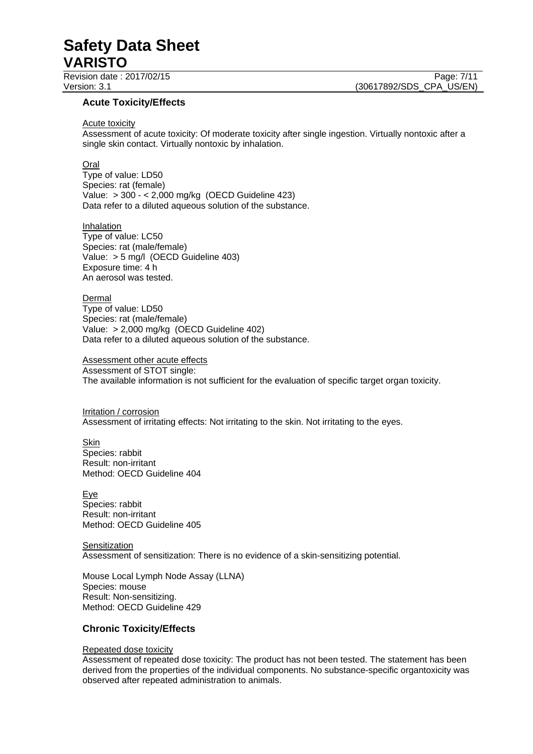Revision date : 2017/02/15

Version: 3.1 (30617892/SDS\_CPA\_US/EN)

#### **Acute Toxicity/Effects**

#### Acute toxicity

Assessment of acute toxicity: Of moderate toxicity after single ingestion. Virtually nontoxic after a single skin contact. Virtually nontoxic by inhalation.

#### **Oral**

Type of value: LD50 Species: rat (female) Value: > 300 - < 2,000 mg/kg (OECD Guideline 423) Data refer to a diluted aqueous solution of the substance.

Inhalation Type of value: LC50 Species: rat (male/female) Value: > 5 mg/l (OECD Guideline 403) Exposure time: 4 h An aerosol was tested.

Dermal Type of value: LD50 Species: rat (male/female) Value: > 2,000 mg/kg (OECD Guideline 402) Data refer to a diluted aqueous solution of the substance.

Assessment other acute effects Assessment of STOT single: The available information is not sufficient for the evaluation of specific target organ toxicity.

Irritation / corrosion Assessment of irritating effects: Not irritating to the skin. Not irritating to the eyes.

**Skin** Species: rabbit Result: non-irritant Method: OECD Guideline 404

Eye Species: rabbit Result: non-irritant Method: OECD Guideline 405

**Sensitization** Assessment of sensitization: There is no evidence of a skin-sensitizing potential.

Mouse Local Lymph Node Assay (LLNA) Species: mouse Result: Non-sensitizing. Method: OECD Guideline 429

#### **Chronic Toxicity/Effects**

#### Repeated dose toxicity

Assessment of repeated dose toxicity: The product has not been tested. The statement has been derived from the properties of the individual components. No substance-specific organtoxicity was observed after repeated administration to animals.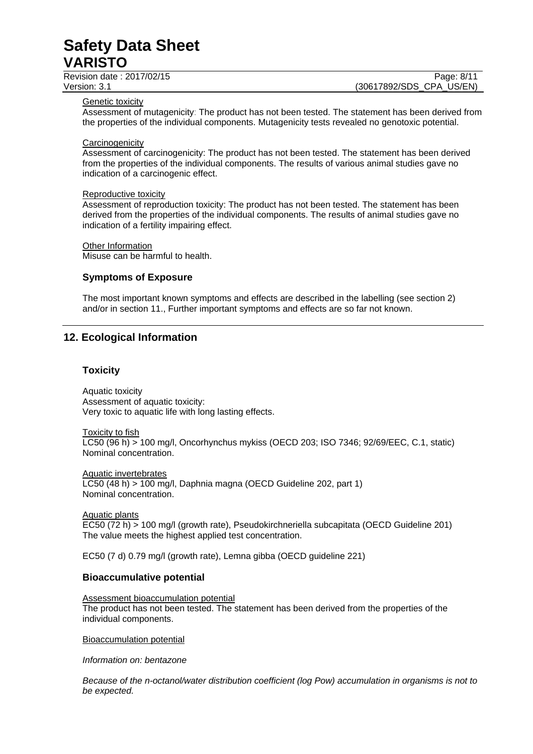Revision date : 2017/02/15 Page: 8/11

Version: 3.1 (30617892/SDS\_CPA\_US/EN)

#### Genetic toxicity

Assessment of mutagenicity: The product has not been tested. The statement has been derived from the properties of the individual components. Mutagenicity tests revealed no genotoxic potential.

#### **Carcinogenicity**

Assessment of carcinogenicity: The product has not been tested. The statement has been derived from the properties of the individual components. The results of various animal studies gave no indication of a carcinogenic effect.

#### Reproductive toxicity

Assessment of reproduction toxicity: The product has not been tested. The statement has been derived from the properties of the individual components. The results of animal studies gave no indication of a fertility impairing effect.

Other Information

Misuse can be harmful to health.

#### **Symptoms of Exposure**

The most important known symptoms and effects are described in the labelling (see section 2) and/or in section 11., Further important symptoms and effects are so far not known.

### **12. Ecological Information**

#### **Toxicity**

Aquatic toxicity Assessment of aquatic toxicity: Very toxic to aquatic life with long lasting effects.

Toxicity to fish LC50 (96 h) > 100 mg/l, Oncorhynchus mykiss (OECD 203; ISO 7346; 92/69/EEC, C.1, static) Nominal concentration.

Aquatic invertebrates LC50 (48 h) > 100 mg/l, Daphnia magna (OECD Guideline 202, part 1) Nominal concentration.

Aquatic plants

EC50 (72 h) > 100 mg/l (growth rate), Pseudokirchneriella subcapitata (OECD Guideline 201) The value meets the highest applied test concentration.

EC50 (7 d) 0.79 mg/l (growth rate), Lemna gibba (OECD guideline 221)

#### **Bioaccumulative potential**

Assessment bioaccumulation potential The product has not been tested. The statement has been derived from the properties of the individual components.

Bioaccumulation potential

*Information on: bentazone* 

*Because of the n-octanol/water distribution coefficient (log Pow) accumulation in organisms is not to be expected.*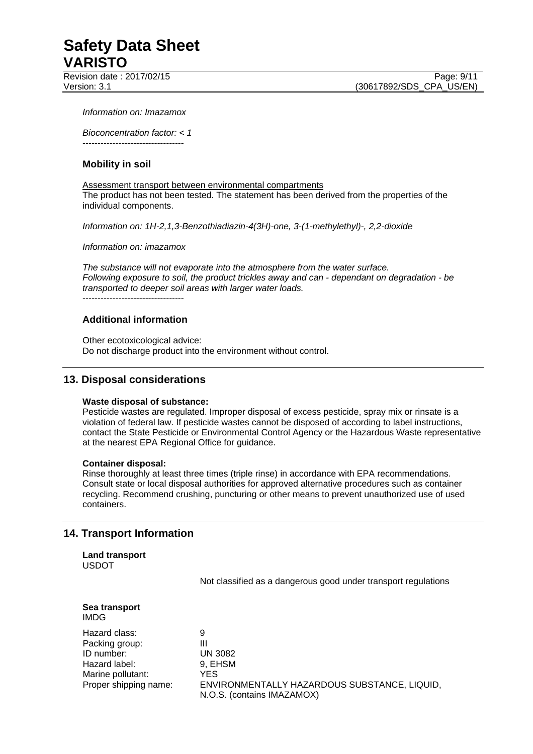Revision date : 2017/02/15 Page: 9/11

*Information on: Imazamox* 

*Bioconcentration factor: < 1* 

----------------------------------

### **Mobility in soil**

Assessment transport between environmental compartments The product has not been tested. The statement has been derived from the properties of the individual components.

*Information on: 1H-2,1,3-Benzothiadiazin-4(3H)-one, 3-(1-methylethyl)-, 2,2-dioxide* 

*Information on: imazamox* 

*The substance will not evaporate into the atmosphere from the water surface. Following exposure to soil, the product trickles away and can - dependant on degradation - be transported to deeper soil areas with larger water loads.* ----------------------------------

### **Additional information**

Other ecotoxicological advice: Do not discharge product into the environment without control.

# **13. Disposal considerations**

#### **Waste disposal of substance:**

Pesticide wastes are regulated. Improper disposal of excess pesticide, spray mix or rinsate is a violation of federal law. If pesticide wastes cannot be disposed of according to label instructions, contact the State Pesticide or Environmental Control Agency or the Hazardous Waste representative at the nearest EPA Regional Office for guidance.

#### **Container disposal:**

Rinse thoroughly at least three times (triple rinse) in accordance with EPA recommendations. Consult state or local disposal authorities for approved alternative procedures such as container recycling. Recommend crushing, puncturing or other means to prevent unauthorized use of used containers.

# **14. Transport Information**

**Land transport**  USDOT

Not classified as a dangerous good under transport regulations

#### **Sea transport**  IMDG

Hazard class: 9 Packing group: III ID number: UN 3082 Hazard label: 9, EHSM Marine pollutant: YES

Proper shipping name: ENVIRONMENTALLY HAZARDOUS SUBSTANCE, LIQUID, N.O.S. (contains IMAZAMOX)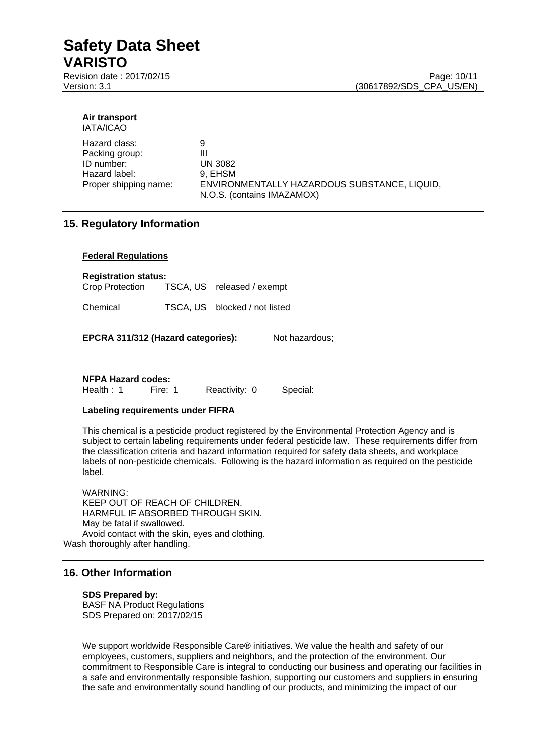Revision date : 2017/02/15 Page: 10/11

Version: 3.1 (30617892/SDS\_CPA\_US/EN)

#### **Air transport**  IATA/ICAO

| Hazard class:                | 9                                                                          |
|------------------------------|----------------------------------------------------------------------------|
| Packing group:<br>ID number: | Ш<br>UN 3082                                                               |
| Hazard label:                | 9. EHSM                                                                    |
| Proper shipping name:        | ENVIRONMENTALLY HAZARDOUS SUBSTANCE, LIQUID,<br>N.O.S. (contains IMAZAMOX) |

# **15. Regulatory Information**

#### **Federal Regulations**

| <b>Registration status:</b> |
|-----------------------------|
|-----------------------------|

| Crop Protection | TSCA, US released / exempt |  |  |
|-----------------|----------------------------|--|--|
|-----------------|----------------------------|--|--|

Chemical TSCA, US blocked / not listed

**EPCRA 311/312 (Hazard categories):** Not hazardous;

**NFPA Hazard codes:** Health : 1 Fire: 1 Reactivity: 0 Special:

#### **Labeling requirements under FIFRA**

This chemical is a pesticide product registered by the Environmental Protection Agency and is subject to certain labeling requirements under federal pesticide law. These requirements differ from the classification criteria and hazard information required for safety data sheets, and workplace labels of non-pesticide chemicals. Following is the hazard information as required on the pesticide label.

WARNING: KEEP OUT OF REACH OF CHILDREN. HARMFUL IF ABSORBED THROUGH SKIN. May be fatal if swallowed. Avoid contact with the skin, eyes and clothing.

Wash thoroughly after handling.

# **16. Other Information**

**SDS Prepared by:**  BASF NA Product Regulations SDS Prepared on: 2017/02/15

We support worldwide Responsible Care® initiatives. We value the health and safety of our employees, customers, suppliers and neighbors, and the protection of the environment. Our commitment to Responsible Care is integral to conducting our business and operating our facilities in a safe and environmentally responsible fashion, supporting our customers and suppliers in ensuring the safe and environmentally sound handling of our products, and minimizing the impact of our